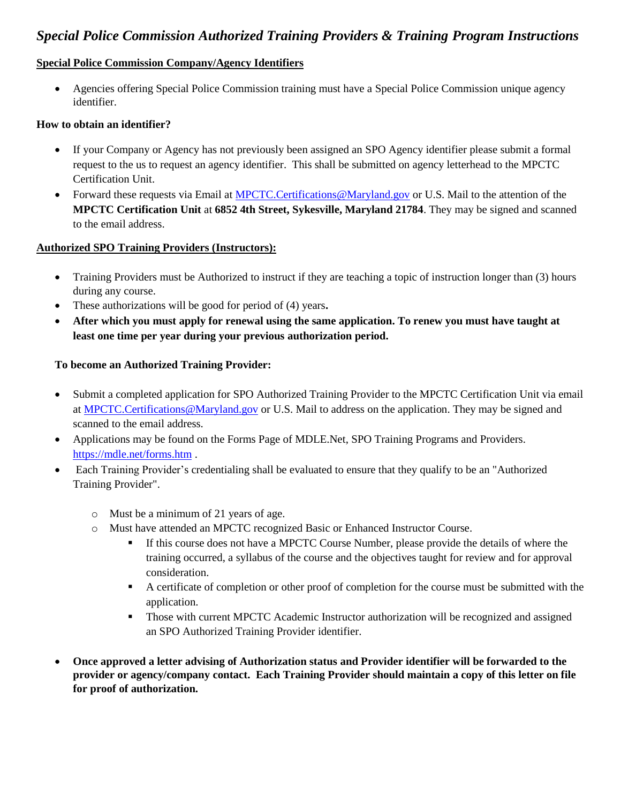# *Special Police Commission Authorized Training Providers & Training Program Instructions*

#### **Special Police Commission Company/Agency Identifiers**

 Agencies offering Special Police Commission training must have a Special Police Commission unique agency identifier.

#### **How to obtain an identifier?**

- If your Company or Agency has not previously been assigned an SPO Agency identifier please submit a formal request to the us to request an agency identifier. This shall be submitted on agency letterhead to the MPCTC Certification Unit.
- Forward these requests via Email at [MPCTC.Certifications@Maryland.gov](mailto:MPCTC.Certifications@Maryland.gov) or U.S. Mail to the attention of the **MPCTC Certification Unit** at **6852 4th Street, Sykesville, Maryland 21784**. They may be signed and scanned to the email address.

#### **Authorized SPO Training Providers (Instructors):**

- Training Providers must be Authorized to instruct if they are teaching a topic of instruction longer than (3) hours during any course.
- These authorizations will be good for period of (4) years**.**
- **After which you must apply for renewal using the same application. To renew you must have taught at least one time per year during your previous authorization period.**

#### **To become an Authorized Training Provider:**

- Submit a completed application for SPO Authorized Training Provider to the MPCTC Certification Unit via email at [MPCTC.Certifications@Maryland.gov](mailto:MPCTC.Certifications@Maryland.gov) or U.S. Mail to address on the application. They may be signed and scanned to the email address.
- Applications may be found on the Forms Page of MDLE.Net, SPO Training Programs and Providers. <https://mdle.net/forms.htm> .
- Each Training Provider's credentialing shall be evaluated to ensure that they qualify to be an "Authorized Training Provider".
	- o Must be a minimum of 21 years of age.
	- o Must have attended an MPCTC recognized Basic or Enhanced Instructor Course.
		- If this course does not have a MPCTC Course Number, please provide the details of where the training occurred, a syllabus of the course and the objectives taught for review and for approval consideration.
		- A certificate of completion or other proof of completion for the course must be submitted with the application.
		- **Those with current MPCTC Academic Instructor authorization will be recognized and assigned** an SPO Authorized Training Provider identifier.
- **Once approved a letter advising of Authorization status and Provider identifier will be forwarded to the provider or agency/company contact. Each Training Provider should maintain a copy of this letter on file for proof of authorization.**